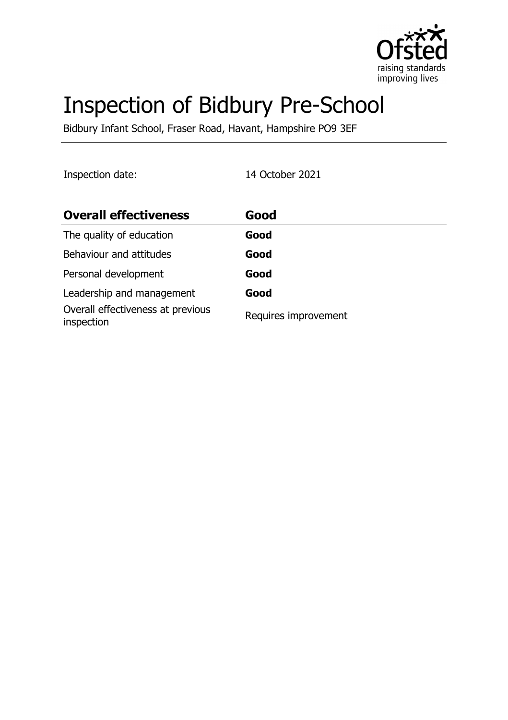

# Inspection of Bidbury Pre-School

Bidbury Infant School, Fraser Road, Havant, Hampshire PO9 3EF

Inspection date: 14 October 2021

| <b>Overall effectiveness</b>                    | Good                 |
|-------------------------------------------------|----------------------|
| The quality of education                        | Good                 |
| Behaviour and attitudes                         | Good                 |
| Personal development                            | Good                 |
| Leadership and management                       | Good                 |
| Overall effectiveness at previous<br>inspection | Requires improvement |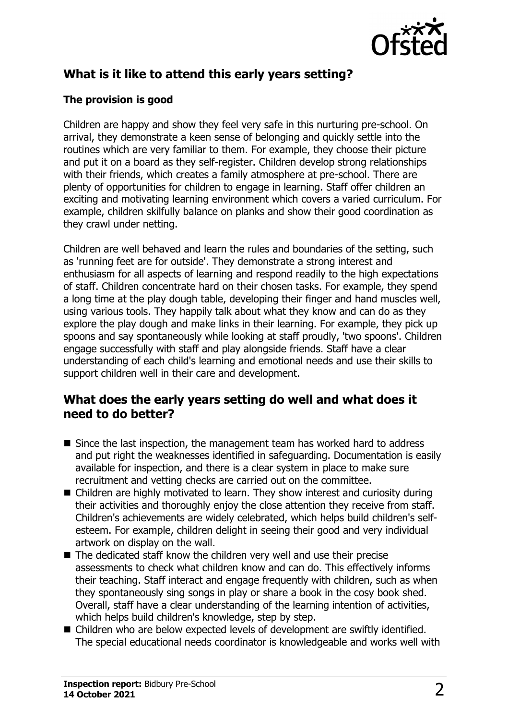

# **What is it like to attend this early years setting?**

## **The provision is good**

Children are happy and show they feel very safe in this nurturing pre-school. On arrival, they demonstrate a keen sense of belonging and quickly settle into the routines which are very familiar to them. For example, they choose their picture and put it on a board as they self-register. Children develop strong relationships with their friends, which creates a family atmosphere at pre-school. There are plenty of opportunities for children to engage in learning. Staff offer children an exciting and motivating learning environment which covers a varied curriculum. For example, children skilfully balance on planks and show their good coordination as they crawl under netting.

Children are well behaved and learn the rules and boundaries of the setting, such as 'running feet are for outside'. They demonstrate a strong interest and enthusiasm for all aspects of learning and respond readily to the high expectations of staff. Children concentrate hard on their chosen tasks. For example, they spend a long time at the play dough table, developing their finger and hand muscles well, using various tools. They happily talk about what they know and can do as they explore the play dough and make links in their learning. For example, they pick up spoons and say spontaneously while looking at staff proudly, 'two spoons'. Children engage successfully with staff and play alongside friends. Staff have a clear understanding of each child's learning and emotional needs and use their skills to support children well in their care and development.

## **What does the early years setting do well and what does it need to do better?**

- $\blacksquare$  Since the last inspection, the management team has worked hard to address and put right the weaknesses identified in safeguarding. Documentation is easily available for inspection, and there is a clear system in place to make sure recruitment and vetting checks are carried out on the committee.
- $\blacksquare$  Children are highly motivated to learn. They show interest and curiosity during their activities and thoroughly enjoy the close attention they receive from staff. Children's achievements are widely celebrated, which helps build children's selfesteem. For example, children delight in seeing their good and very individual artwork on display on the wall.
- $\blacksquare$  The dedicated staff know the children very well and use their precise assessments to check what children know and can do. This effectively informs their teaching. Staff interact and engage frequently with children, such as when they spontaneously sing songs in play or share a book in the cosy book shed. Overall, staff have a clear understanding of the learning intention of activities, which helps build children's knowledge, step by step.
- Children who are below expected levels of development are swiftly identified. The special educational needs coordinator is knowledgeable and works well with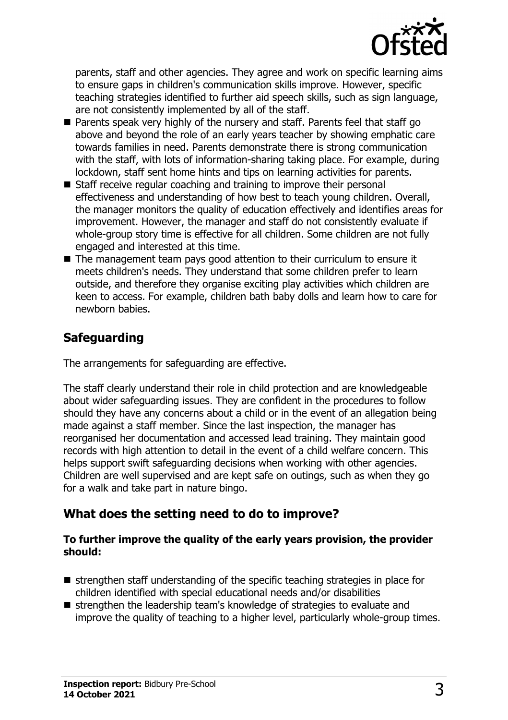

parents, staff and other agencies. They agree and work on specific learning aims to ensure gaps in children's communication skills improve. However, specific teaching strategies identified to further aid speech skills, such as sign language, are not consistently implemented by all of the staff.

- $\blacksquare$  Parents speak very highly of the nursery and staff. Parents feel that staff go above and beyond the role of an early years teacher by showing emphatic care towards families in need. Parents demonstrate there is strong communication with the staff, with lots of information-sharing taking place. For example, during lockdown, staff sent home hints and tips on learning activities for parents.
- $\blacksquare$  Staff receive regular coaching and training to improve their personal effectiveness and understanding of how best to teach young children. Overall, the manager monitors the quality of education effectively and identifies areas for improvement. However, the manager and staff do not consistently evaluate if whole-group story time is effective for all children. Some children are not fully engaged and interested at this time.
- $\blacksquare$  The management team pays good attention to their curriculum to ensure it meets children's needs. They understand that some children prefer to learn outside, and therefore they organise exciting play activities which children are keen to access. For example, children bath baby dolls and learn how to care for newborn babies.

# **Safeguarding**

The arrangements for safeguarding are effective.

The staff clearly understand their role in child protection and are knowledgeable about wider safeguarding issues. They are confident in the procedures to follow should they have any concerns about a child or in the event of an allegation being made against a staff member. Since the last inspection, the manager has reorganised her documentation and accessed lead training. They maintain good records with high attention to detail in the event of a child welfare concern. This helps support swift safeguarding decisions when working with other agencies. Children are well supervised and are kept safe on outings, such as when they go for a walk and take part in nature bingo.

# **What does the setting need to do to improve?**

#### **To further improve the quality of the early years provision, the provider should:**

- $\blacksquare$  strengthen staff understanding of the specific teaching strategies in place for children identified with special educational needs and/or disabilities
- strengthen the leadership team's knowledge of strategies to evaluate and improve the quality of teaching to a higher level, particularly whole-group times.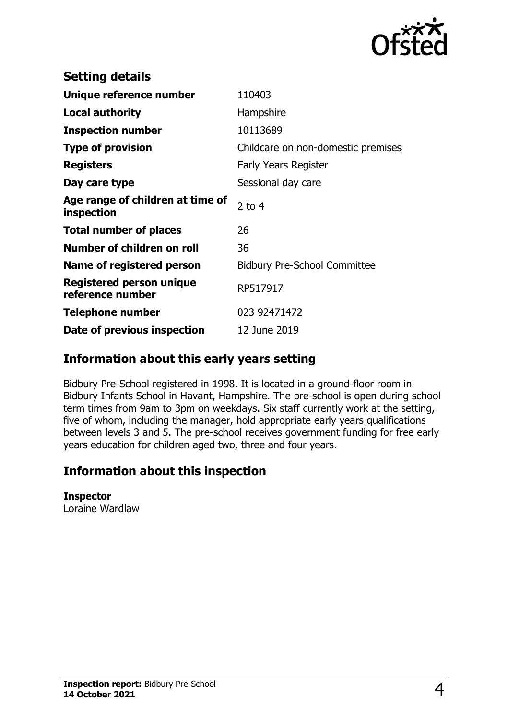

| <b>Setting details</b>                         |                                     |
|------------------------------------------------|-------------------------------------|
| Unique reference number                        | 110403                              |
| Local authority                                | Hampshire                           |
| <b>Inspection number</b>                       | 10113689                            |
| <b>Type of provision</b>                       | Childcare on non-domestic premises  |
| <b>Registers</b>                               | Early Years Register                |
| Day care type                                  | Sessional day care                  |
| Age range of children at time of<br>inspection | 2 to $4$                            |
| <b>Total number of places</b>                  | 26                                  |
| Number of children on roll                     | 36                                  |
| Name of registered person                      | <b>Bidbury Pre-School Committee</b> |
| Registered person unique<br>reference number   | RP517917                            |
| <b>Telephone number</b>                        | 023 92471472                        |
| Date of previous inspection                    | 12 June 2019                        |

# **Information about this early years setting**

Bidbury Pre-School registered in 1998. It is located in a ground-floor room in Bidbury Infants School in Havant, Hampshire. The pre-school is open during school term times from 9am to 3pm on weekdays. Six staff currently work at the setting, five of whom, including the manager, hold appropriate early years qualifications between levels 3 and 5. The pre-school receives government funding for free early years education for children aged two, three and four years.

# **Information about this inspection**

## **Inspector**

Loraine Wardlaw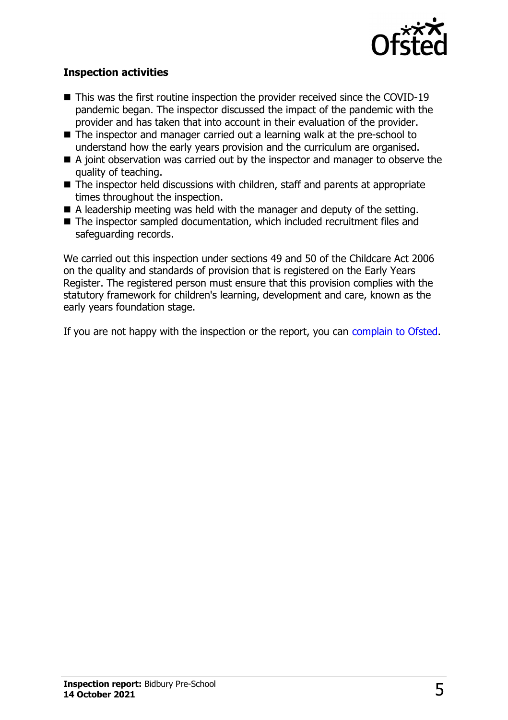

#### **Inspection activities**

- $\blacksquare$  This was the first routine inspection the provider received since the COVID-19 pandemic began. The inspector discussed the impact of the pandemic with the provider and has taken that into account in their evaluation of the provider.
- The inspector and manager carried out a learning walk at the pre-school to understand how the early years provision and the curriculum are organised.
- $\blacksquare$  A joint observation was carried out by the inspector and manager to observe the quality of teaching.
- $\blacksquare$  The inspector held discussions with children, staff and parents at appropriate times throughout the inspection.
- $\blacksquare$  A leadership meeting was held with the manager and deputy of the setting.
- The inspector sampled documentation, which included recruitment files and safeguarding records.

We carried out this inspection under sections 49 and 50 of the Childcare Act 2006 on the quality and standards of provision that is registered on the Early Years Register. The registered person must ensure that this provision complies with the statutory framework for children's learning, development and care, known as the early years foundation stage.

If you are not happy with the inspection or the report, you can [complain to Ofsted](http://www.gov.uk/complain-ofsted-report).